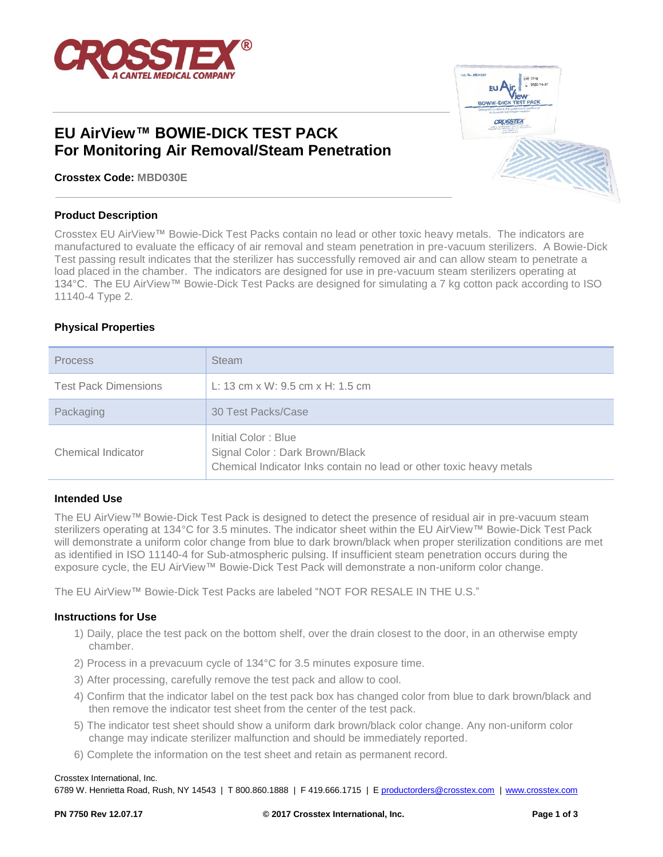

# **EU AirView™ BOWIE-DICK TEST PACK For Monitoring Air Removal/Steam Penetration**

**Crosstex Code: MBD030E**

#### **Product Description**

Crosstex EU AirView™ Bowie-Dick Test Packs contain no lead or other toxic heavy metals. The indicators are manufactured to evaluate the efficacy of air removal and steam penetration in pre-vacuum sterilizers. A Bowie-Dick Test passing result indicates that the sterilizer has successfully removed air and can allow steam to penetrate a load placed in the chamber. The indicators are designed for use in pre-vacuum steam sterilizers operating at 134°C. The EU AirView™ Bowie-Dick Test Packs are designed for simulating a 7 kg cotton pack according to ISO 11140-4 Type 2.

## **Physical Properties**

| <b>Process</b>              | <b>Steam</b>                                                                                                                 |
|-----------------------------|------------------------------------------------------------------------------------------------------------------------------|
| <b>Test Pack Dimensions</b> | L: 13 cm x W: 9.5 cm x H: 1.5 cm                                                                                             |
| Packaging                   | 30 Test Packs/Case                                                                                                           |
| Chemical Indicator          | Initial Color: Blue<br>Signal Color: Dark Brown/Black<br>Chemical Indicator Inks contain no lead or other toxic heavy metals |

## **Intended Use**

The EU AirView™ Bowie-Dick Test Pack is designed to detect the presence of residual air in pre-vacuum steam sterilizers operating at 134°C for 3.5 minutes. The indicator sheet within the EU AirView™ Bowie-Dick Test Pack will demonstrate a uniform color change from blue to dark brown/black when proper sterilization conditions are met as identified in ISO 11140-4 for Sub-atmospheric pulsing. If insufficient steam penetration occurs during the exposure cycle, the EU AirView™ Bowie-Dick Test Pack will demonstrate a non-uniform color change.

The EU AirView™ Bowie-Dick Test Packs are labeled "NOT FOR RESALE IN THE U.S."

#### **Instructions for Use**

- 1) Daily, place the test pack on the bottom shelf, over the drain closest to the door, in an otherwise empty chamber.
- 2) Process in a prevacuum cycle of 134°C for 3.5 minutes exposure time.
- 3) After processing, carefully remove the test pack and allow to cool.
- 4) Confirm that the indicator label on the test pack box has changed color from blue to dark brown/black and then remove the indicator test sheet from the center of the test pack.
- 5) The indicator test sheet should show a uniform dark brown/black color change. Any non-uniform color change may indicate sterilizer malfunction and should be immediately reported.
- 6) Complete the information on the test sheet and retain as permanent record.

#### Crosstex International, Inc.

6789 W. Henrietta Road, Rush, NY 14543 | T 800.860.1888 | F 419.666.1715 | [E productorders@crosstex.com](mailto:productorders@crosstex.com) | [www.crosstex.com](http://www.crosstex.com/)

CROSSTE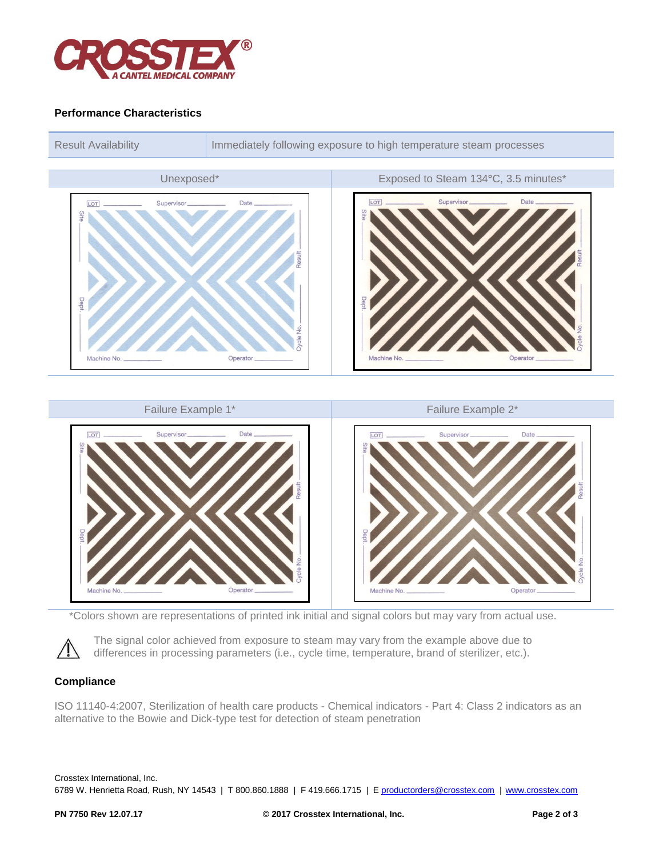

## **Performance Characteristics**



\*Colors shown are representations of printed ink initial and signal colors but may vary from actual use.

The signal color achieved from exposure to steam may vary from the example above due to differences in processing parameters (i.e., cycle time, temperature, brand of sterilizer, etc.).

## **Compliance**

ISO 11140-4:2007, Sterilization of health care products - Chemical indicators - Part 4: Class 2 indicators as an alternative to the Bowie and Dick-type test for detection of steam penetration

Crosstex International, Inc. 6789 W. Henrietta Road, Rush, NY 14543 | T 800.860.1888 | F 419.666.1715 | [E productorders@crosstex.com](mailto:productorders@crosstex.com) | [www.crosstex.com](http://www.crosstex.com/)